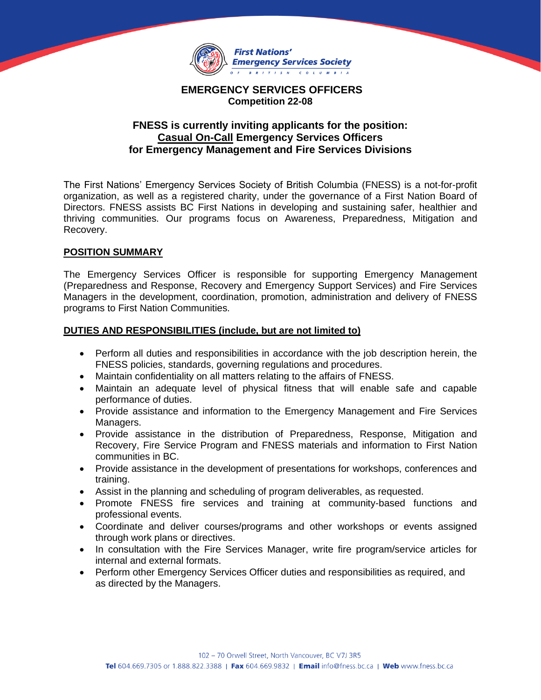

## **EMERGENCY SERVICES OFFICERS Competition 22-08**

## **FNESS is currently inviting applicants for the position: Casual On-Call Emergency Services Officers for Emergency Management and Fire Services Divisions**

The First Nations' Emergency Services Society of British Columbia (FNESS) is a not-for-profit organization, as well as a registered charity, under the governance of a First Nation Board of Directors. FNESS assists BC First Nations in developing and sustaining safer, healthier and thriving communities. Our programs focus on Awareness, Preparedness, Mitigation and Recovery.

## **POSITION SUMMARY**

The Emergency Services Officer is responsible for supporting Emergency Management (Preparedness and Response, Recovery and Emergency Support Services) and Fire Services Managers in the development, coordination, promotion, administration and delivery of FNESS programs to First Nation Communities.

## **DUTIES AND RESPONSIBILITIES (include, but are not limited to)**

- Perform all duties and responsibilities in accordance with the job description herein, the FNESS policies, standards, governing regulations and procedures.
- Maintain confidentiality on all matters relating to the affairs of FNESS.
- Maintain an adequate level of physical fitness that will enable safe and capable performance of duties.
- Provide assistance and information to the Emergency Management and Fire Services Managers.
- Provide assistance in the distribution of Preparedness, Response, Mitigation and Recovery, Fire Service Program and FNESS materials and information to First Nation communities in BC.
- Provide assistance in the development of presentations for workshops, conferences and training.
- Assist in the planning and scheduling of program deliverables, as requested.
- Promote FNESS fire services and training at community-based functions and professional events.
- Coordinate and deliver courses/programs and other workshops or events assigned through work plans or directives.
- In consultation with the Fire Services Manager, write fire program/service articles for internal and external formats.
- Perform other Emergency Services Officer duties and responsibilities as required, and as directed by the Managers.